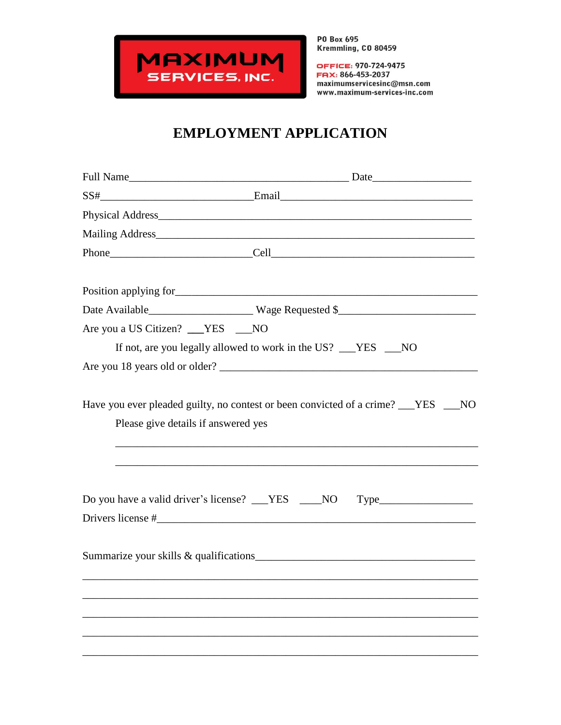

OFFICE: 970-724-9475 FAX: 866-453-2037 maximumservicesinc@msn.com www.maximum-services-inc.com

## **EMPLOYMENT APPLICATION**

|                                     | $SS#$ Email Email Email Email Email Email Email Email Email Email Email Email Email Email Email Email Email Email Email Email Email Email Email Email Email Email Email Email Email Email Email Email Email Email Email Email |
|-------------------------------------|-------------------------------------------------------------------------------------------------------------------------------------------------------------------------------------------------------------------------------|
|                                     |                                                                                                                                                                                                                               |
|                                     | Mailing Address                                                                                                                                                                                                               |
|                                     |                                                                                                                                                                                                                               |
|                                     |                                                                                                                                                                                                                               |
|                                     |                                                                                                                                                                                                                               |
| Are you a US Citizen? __YES __NO    |                                                                                                                                                                                                                               |
|                                     | If not, are you legally allowed to work in the US? __YES __NO                                                                                                                                                                 |
|                                     |                                                                                                                                                                                                                               |
| Please give details if answered yes |                                                                                                                                                                                                                               |
|                                     | Do you have a valid driver's license? __YES ___NO                                                                                                                                                                             |
|                                     |                                                                                                                                                                                                                               |
|                                     |                                                                                                                                                                                                                               |
|                                     |                                                                                                                                                                                                                               |
|                                     |                                                                                                                                                                                                                               |
|                                     |                                                                                                                                                                                                                               |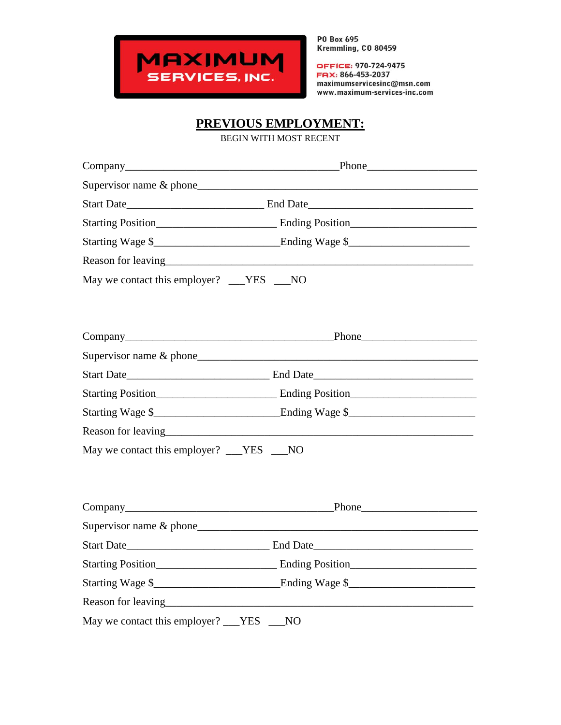

OFFICE: 970-724-9475 FAX: 866-453-2037 maximumservicesinc@msn.com www.maximum-services-inc.com

## **PREVIOUS EMPLOYMENT:**

BEGIN WITH MOST RECENT

| Company                                    | <u>Phone</u> Phone Phone 2014 1999 Phone 2014 1999 Phone 2014 1999 Phone 2014 1999 Phone 2014 1999 Phone 2014 1999 Phone 2014 1999 Phone 2014 1999 Phone 2014 1999 Phone 2014 1999 Phone 2014 1999 Phone 2014 1999 Phone 2014 1999 |  |
|--------------------------------------------|------------------------------------------------------------------------------------------------------------------------------------------------------------------------------------------------------------------------------------|--|
|                                            |                                                                                                                                                                                                                                    |  |
|                                            |                                                                                                                                                                                                                                    |  |
|                                            |                                                                                                                                                                                                                                    |  |
|                                            |                                                                                                                                                                                                                                    |  |
|                                            |                                                                                                                                                                                                                                    |  |
| May we contact this employer? __YES __NO   |                                                                                                                                                                                                                                    |  |
|                                            |                                                                                                                                                                                                                                    |  |
|                                            |                                                                                                                                                                                                                                    |  |
|                                            |                                                                                                                                                                                                                                    |  |
|                                            |                                                                                                                                                                                                                                    |  |
|                                            |                                                                                                                                                                                                                                    |  |
|                                            |                                                                                                                                                                                                                                    |  |
|                                            |                                                                                                                                                                                                                                    |  |
| May we contact this employer? ___YES ___NO |                                                                                                                                                                                                                                    |  |
|                                            |                                                                                                                                                                                                                                    |  |
|                                            |                                                                                                                                                                                                                                    |  |
|                                            |                                                                                                                                                                                                                                    |  |
|                                            |                                                                                                                                                                                                                                    |  |
|                                            | Starting Position Starting Position Starting Rosition Starting Rosition Starting Rosition Starting Rosition Starting Rosition Starting Rosition Starting Rosition Starting Rosition Starting Rosition Starting Rosition Starti     |  |
|                                            | Starting Wage \$__________________________________Ending Wage \$___________________                                                                                                                                                |  |
|                                            |                                                                                                                                                                                                                                    |  |
| May we contact this employer? ___YES ___NO |                                                                                                                                                                                                                                    |  |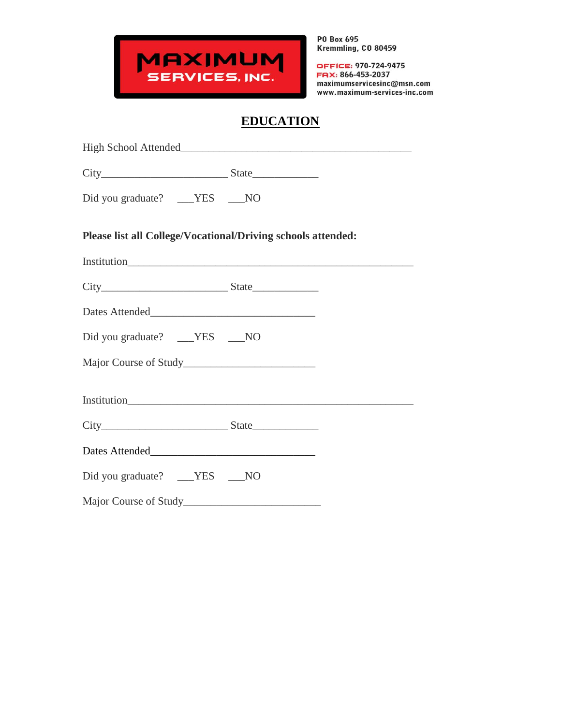

OFFICE: 970-724-9475 FAX: 866-453-2037 maximumservicesinc@msn.com www.maximum-services-inc.com

## **EDUCATION**

| Did you graduate? ___YES ___NO                               |  |  |  |  |
|--------------------------------------------------------------|--|--|--|--|
| Please list all College/Vocational/Driving schools attended: |  |  |  |  |
|                                                              |  |  |  |  |
| $City$ State                                                 |  |  |  |  |
|                                                              |  |  |  |  |
| Did you graduate? ___YES ___NO                               |  |  |  |  |
|                                                              |  |  |  |  |
|                                                              |  |  |  |  |
|                                                              |  |  |  |  |
|                                                              |  |  |  |  |
| Did you graduate? ___YES ___NO                               |  |  |  |  |
|                                                              |  |  |  |  |